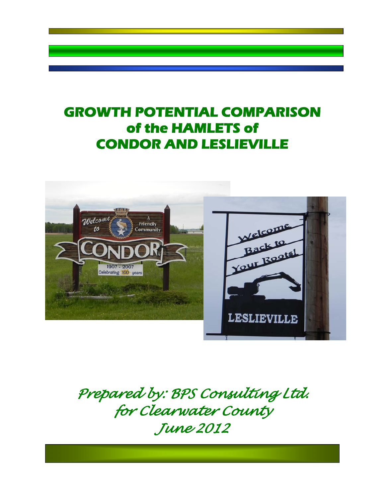# **GROWTH POTENTIAL COMPARISON of the HAMLETS of CONDOR AND LESLIEVILLE**



*Prepared by: BPS Consulting Ltd. for Clearwater County June 2012*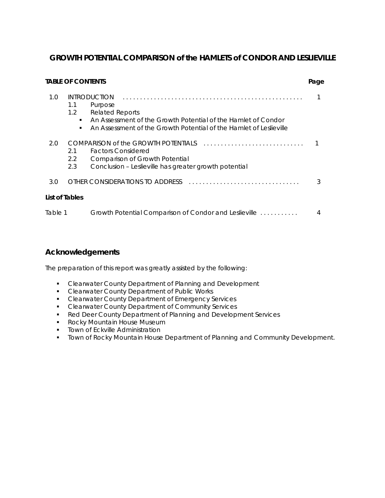## **GROWTH POTENTIAL COMPARISON of the HAMLETS of CONDOR AND LESLIEVILLE**

|         | <b>TABLE OF CONTENTS</b>          |                                                                                                                                                                                                 | Page |
|---------|-----------------------------------|-------------------------------------------------------------------------------------------------------------------------------------------------------------------------------------------------|------|
| 1.0     | 1.1<br>1.2<br>$\blacksquare$<br>٠ | <b>INTRODUCTION</b><br>Purpose<br><b>Related Reports</b><br>An Assessment of the Growth Potential of the Hamlet of Condor<br>An Assessment of the Growth Potential of the Hamlet of Leslieville |      |
| 2.0     | 2.1<br>2.2<br>2.3                 | COMPARISON of the GROWTH POTENTIALS<br><b>Factors Considered</b><br><b>Comparison of Growth Potential</b><br>Conclusion - Leslieville has greater growth potential                              |      |
| 3.0     |                                   | OTHER CONSIDERATIONS TO ADDRESS                                                                                                                                                                 |      |
|         | List of Tables                    |                                                                                                                                                                                                 |      |
| Table 1 |                                   | Growth Potential Comparison of Condor and Leslieville                                                                                                                                           |      |

# **Acknowledgements**

The preparation of this report was greatly assisted by the following:

- **EXEC** Clearwater County Department of Planning and Development
- **Clearwater County Department of Public Works**
- Clearwater County Department of Emergency Services
- **EXECLE**<br>Clearwater County Department of Community Services
- Red Deer County Department of Planning and Development Services
- **Rocky Mountain House Museum**
- **Town of Eckville Administration**
- **TOWN of Rocky Mountain House Department of Planning and Community Development.**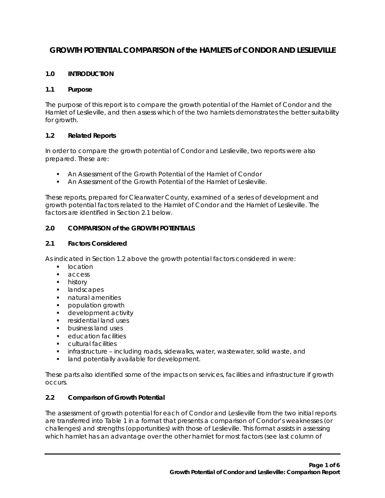# **GROWTH POTENTIAL COMPARISON of the HAMLETS of CONDOR AND LESLIEVILLE**

## **1.0 INTRODUCTION**

#### **1.1 Purpose**

The purpose of this report is to compare the growth potential of the Hamlet of Condor and the Hamlet of Leslieville, and then assess which of the two hamlets demonstrates the better suitability for growth.

### **1.2 Related Reports**

In order to compare the growth potential of Condor and Leslieville, two reports were also prepared. These are:

- An Assessment of the Growth Potential of the Hamlet of Condor
- An Assessment of the Growth Potential of the Hamlet of Leslieville.

These reports, prepared for Clearwater County, examined of a series of development and growth potential factors related to the Hamlet of Condor and the Hamlet of Leslieville. The factors are identified in Section 2.1 below.

#### **2.0 COMPARISON of the GROWTH POTENTIALS**

#### **2.1 Factors Considered**

As indicated in Section 1.2 above the growth potential factors considered in were:

- **I** location
- **access**
- **history**
- **I** landscapes
- **natural amenities**
- **propulation growth**
- **development activity**
- **F** residential land uses
- **business land uses**
- **•** education facilities
- **•** cultural facilities
- infrastructure including roads, sidewalks, water, wastewater, solid waste, and
- **If** land potentially available for development.

These parts also identified some of the impacts on services, facilities and infrastructure if growth occurs.

#### **2.2 Comparison of Growth Potential**

The assessment of growth potential for each of Condor and Leslieville from the two initial reports are transferred into Table 1 in a format that presents a comparison of Condor's weaknesses (or challenges) and strengths (opportunities) with those of Leslieville. This format assists in assessing which hamlet has an advantage over the other hamlet for most factors (see last column of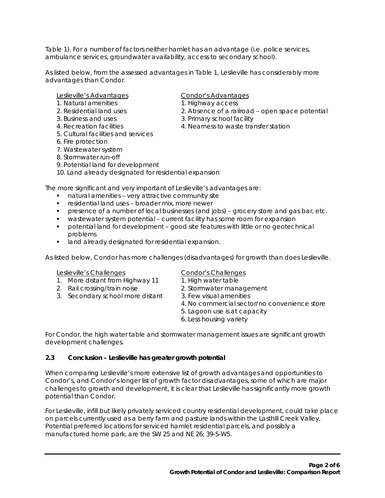Table 1). For a number of factors neither hamlet has an advantage (i.e. police services, ambulance services, groundwater availability, access to secondary school).

As listed below, from the assessed advantages in Table 1, Leslieville has considerably more advantages than Condor.

#### Leslieville's Advantages<br>
Condor's Advantages

- 1. Natural amenities 1. Highway access
- 
- 
- 
- 5. Cultural facilities and services
- 6. Fire protection
- 7. Wastewater system
- 8. Stormwater run-off
- 9. Potential land for development
- 10. Land already designated for residential expansion

The more significant and very important of Leslieville's advantages are:

- natural amenities very attractive community site
- **F** residential land uses broader mix, more newer
- presence of a number of local businesses (and jobs) grocery store and gas bar, etc.
- wastewater system potential current facility has some room for expansion
- potential land for development good site features with little or no geotechnical problems
- **If** land already designated for residential expansion.

As listed below, Condor has more challenges (disadvantages) for growth than does Leslieville.

#### Leslieville's Challenges Condor's Challenges

- 1. More distant from Highway 11 1. High water table
- 2. Rail crossing/train noise 2. Stormwater management
- 3. Secondary school more distant 3. Few visual amenities

- 
- 
- 4. No commercial sector/no convenience store
- 5. Lagoon use is at capacity
- 6. Less housing variety

For Condor, the high water table and stormwater management issues are significant growth development challenges.

#### **2.3 Conclusion – Leslieville has greater growth potential**

When comparing Leslieville's more extensive list of growth advantages and opportunities to Condor's, and Condor's longer list of growth factor disadvantages, some of which are major challenges to growth and development, it is clear that Leslieville has significantly more growth potential than Condor.

For Leslieville, infill but likely privately serviced country residential development, could take place on parcels currently used as a berry farm and pasture lands within the Lasthill Creek Valley. Potential preferred locations for serviced hamlet residential parcels, and possibly a manufactured home park, are the SW 25 and NE 26; 39-5-W5.

- 
- 
- 2. Residential land uses 2. Absence of a railroad open space potential
- 3. Business and uses 3. Primary school facility
- 4. Recreation facilities 4. Nearness to waste transfer station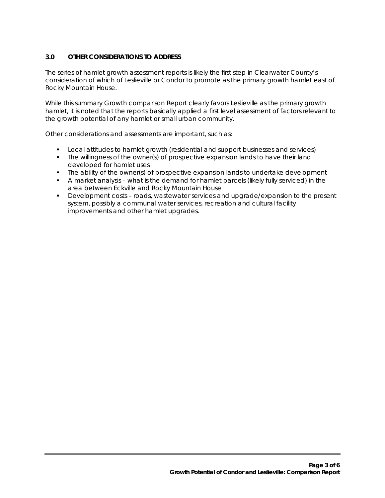## **3.0 OTHER CONSIDERATIONS TO ADDRESS**

The series of hamlet growth assessment reports is likely the first step in Clearwater County's consideration of which of Leslieville or Condor to promote as the primary growth hamlet east of Rocky Mountain House.

While this summary Growth comparison Report clearly favors Leslieville as the primary growth hamlet, it is noted that the reports basically applied a first level assessment of factors relevant to the growth potential of any hamlet or small urban community.

Other considerations and assessments are important, such as:

- Local attitudes to hamlet growth (residential and support businesses and services)
- The willingness of the owner(s) of prospective expansion lands to have their land developed for hamlet uses
- The ability of the owner(s) of prospective expansion lands to undertake development
- A market analysis what is the demand for hamlet parcels (likely fully serviced) in the area between Eckville and Rocky Mountain House
- Development costs roads, wastewater services and upgrade/expansion to the present system, possibly a communal water services, recreation and cultural facility improvements and other hamlet upgrades.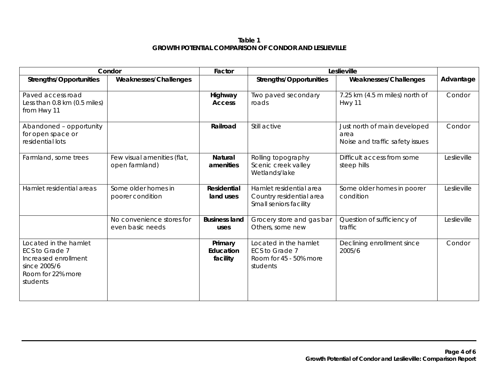### **Table 1 GROWTH POTENTIAL COMPARISON OF CONDOR AND LESLIEVILLE**

|                                                                                                                  | Condor                                        | Factor                           | Leslieville                                                                   |                                                                         |             |
|------------------------------------------------------------------------------------------------------------------|-----------------------------------------------|----------------------------------|-------------------------------------------------------------------------------|-------------------------------------------------------------------------|-------------|
| <b>Strengths/Opportunities</b>                                                                                   | <b>Weaknesses/Challenges</b>                  |                                  | <b>Strengths/Opportunities</b>                                                | Weaknesses/Challenges                                                   | Advantage   |
| Paved access road<br>Less than 0.8 km (0.5 miles)<br>from Hwy 11                                                 |                                               | Highway<br><b>Access</b>         | Two paved secondary<br>roads                                                  | 7.25 km (4.5 m miles) north of<br>Hwy 11                                | Condor      |
| Abandoned - opportunity<br>for open space or<br>residential lots                                                 |                                               | Railroad                         | Still active                                                                  | Just north of main developed<br>area<br>Noise and traffic safety issues | Condor      |
| Farmland, some trees                                                                                             | Few visual amenities (flat,<br>open farmland) | <b>Natural</b><br>amenities      | Rolling topography<br>Scenic creek valley<br>Wetlands/lake                    | Difficult access from some<br>steep hills                               | Leslieville |
| Hamlet residential areas                                                                                         | Some older homes in<br>poorer condition       | <b>Residential</b><br>land uses  | Hamlet residential area<br>Country residential area<br>Small seniors facility | Some older homes in poorer<br>condition                                 | Leslieville |
|                                                                                                                  | No convenience stores for<br>even basic needs | <b>Business land</b><br>uses     | Grocery store and gas bar<br>Others, some new                                 | Question of sufficiency of<br>traffic                                   | Leslieville |
| Located in the hamlet<br>ECS to Grade 7<br>Increased enrollment<br>since 2005/6<br>Room for 22% more<br>students |                                               | Primary<br>Education<br>facility | Located in the hamlet<br>ECS to Grade 7<br>Room for 45 - 50% more<br>students | Declining enrollment since<br>2005/6                                    | Condor      |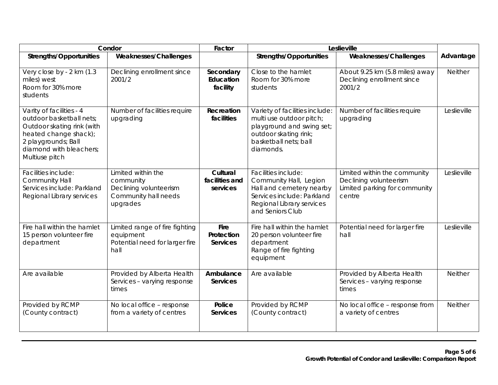|                                                                                                                                                                                 | Condor                                                                                        | Factor                                 | Leslieville                                                                                                                                              |                                                                                                   |                |
|---------------------------------------------------------------------------------------------------------------------------------------------------------------------------------|-----------------------------------------------------------------------------------------------|----------------------------------------|----------------------------------------------------------------------------------------------------------------------------------------------------------|---------------------------------------------------------------------------------------------------|----------------|
| <b>Strengths/Opportunities</b>                                                                                                                                                  | Weaknesses/Challenges                                                                         |                                        | <b>Strengths/Opportunities</b>                                                                                                                           | Weaknesses/Challenges                                                                             | Advantage      |
| Very close by - 2 km (1.3<br>miles) west<br>Room for 30% more<br>students                                                                                                       | Declining enrollment since<br>2001/2                                                          | Secondary<br>Education<br>facility     | Close to the hamlet<br>Room for 30% more<br>students                                                                                                     | About 9.25 km (5.8 miles) away<br>Declining enrollment since<br>2001/2                            | Neither        |
| Varity of facilities - 4<br>outdoor basketball nets;<br>Outdoor skating rink (with<br>heated change shack);<br>2 playgrounds; Ball<br>diamond with bleachers;<br>Multiuse pitch | Number of facilities require<br>upgrading                                                     | Recreation<br>facilities               | Variety of facilities include:<br>multi use outdoor pitch;<br>playground and swing set;<br>outdoor skating rink;<br>basketball nets: ball<br>diamonds.   | Number of facilities require<br>upgrading                                                         | Leslieville    |
| Facilities include:<br>Community Hall<br>Services include: Parkland<br>Regional Library services                                                                                | Limited within the<br>community<br>Declining volunteerism<br>Community hall needs<br>upgrades | Cultural<br>facilities and<br>services | Facilities include:<br>Community Hall, Legion<br>Hall and cemetery nearby<br>Services include: Parkland<br>Regional Library services<br>and Seniors Club | Limited within the community<br>Declining volunteerism<br>Limited parking for community<br>centre | Leslieville    |
| Fire hall within the hamlet<br>15 person volunteer fire<br>department                                                                                                           | Limited range of fire fighting<br>equipment<br>Potential need for larger fire<br>hall         | Fire<br>Protection<br><b>Services</b>  | Fire hall within the hamlet<br>20 person volunteer fire<br>department<br>Range of fire fighting<br>equipment                                             | Potential need for larger fire<br>hall                                                            | Leslieville    |
| Are available                                                                                                                                                                   | Provided by Alberta Health<br>Services - varying response<br>times                            | Ambulance<br><b>Services</b>           | Are available                                                                                                                                            | Provided by Alberta Health<br>Services - varying response<br>times                                | <b>Neither</b> |
| Provided by RCMP<br>(County contract)                                                                                                                                           | No local office - response<br>from a variety of centres                                       | Police<br><b>Services</b>              | Provided by RCMP<br>(County contract)                                                                                                                    | No local office - response from<br>a variety of centres                                           | <b>Neither</b> |